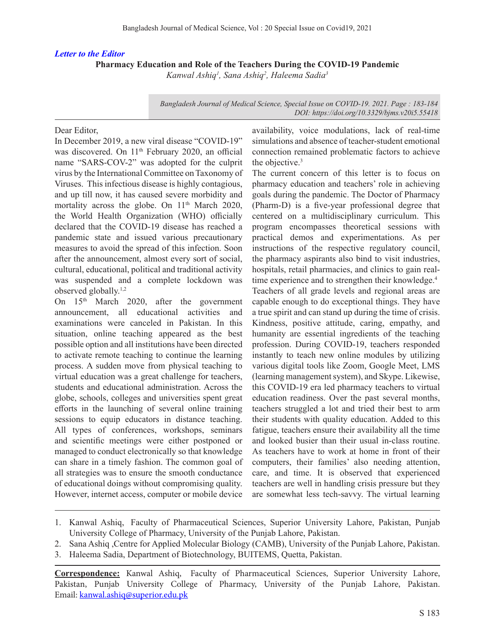### *Letter to the Editor*

**Pharmacy Education and Role of the Teachers During the COVID-19 Pandemic**

*Kanwal Ashiq1 , Sana Ashiq2 , Haleema Sadia3*

*Bangladesh Journal of Medical Science, Special Issue on COVID-19. 2021. Page : 183-184 DOI: https://doi.org/10.3329/bjms.v20i5.55418* 

#### Dear Editor,

In December 2019, a new viral disease "COVID-19" was discovered. On 11<sup>th</sup> February 2020, an official name "SARS-COV-2" was adopted for the culprit virus by the International Committee on Taxonomy of Viruses. This infectious disease is highly contagious, and up till now, it has caused severe morbidity and mortality across the globe. On 11<sup>th</sup> March 2020, the World Health Organization (WHO) officially declared that the COVID-19 disease has reached a pandemic state and issued various precautionary measures to avoid the spread of this infection. Soon after the announcement, almost every sort of social, cultural, educational, political and traditional activity was suspended and a complete lockdown was observed globally.1,2

On 15<sup>th</sup> March 2020, after the government announcement, all educational activities and examinations were canceled in Pakistan. In this situation, online teaching appeared as the best possible option and all institutions have been directed to activate remote teaching to continue the learning process. A sudden move from physical teaching to virtual education was a great challenge for teachers, students and educational administration. Across the globe, schools, colleges and universities spent great efforts in the launching of several online training sessions to equip educators in distance teaching. All types of conferences, workshops, seminars and scientific meetings were either postponed or managed to conduct electronically so that knowledge can share in a timely fashion. The common goal of all strategies was to ensure the smooth conductance of educational doings without compromising quality. However, internet access, computer or mobile device

availability, voice modulations, lack of real-time simulations and absence of teacher-student emotional connection remained problematic factors to achieve the objective.3

The current concern of this letter is to focus on pharmacy education and teachers' role in achieving goals during the pandemic. The Doctor of Pharmacy (Pharm-D) is a five-year professional degree that centered on a multidisciplinary curriculum. This program encompasses theoretical sessions with practical demos and experimentations. As per instructions of the respective regulatory council, the pharmacy aspirants also bind to visit industries, hospitals, retail pharmacies, and clinics to gain realtime experience and to strengthen their knowledge.<sup>4</sup>

Teachers of all grade levels and regional areas are capable enough to do exceptional things. They have a true spirit and can stand up during the time of crisis. Kindness, positive attitude, caring, empathy, and humanity are essential ingredients of the teaching profession. During COVID-19, teachers responded instantly to teach new online modules by utilizing various digital tools like Zoom, Google Meet, LMS (learning management system), and Skype. Likewise, this COVID-19 era led pharmacy teachers to virtual education readiness. Over the past several months, teachers struggled a lot and tried their best to arm their students with quality education. Added to this fatigue, teachers ensure their availability all the time and looked busier than their usual in-class routine. As teachers have to work at home in front of their computers, their families' also needing attention, care, and time. It is observed that experienced teachers are well in handling crisis pressure but they are somewhat less tech-savvy. The virtual learning

<sup>1.</sup> Kanwal Ashiq, Faculty of Pharmaceutical Sciences, Superior University Lahore, Pakistan, Punjab University College of Pharmacy, University of the Punjab Lahore, Pakistan.

<sup>2.</sup> Sana Ashiq ,Centre for Applied Molecular Biology (CAMB), University of the Punjab Lahore, Pakistan.

<sup>3.</sup> Haleema Sadia, Department of Biotechnology, BUITEMS, Quetta, Pakistan.

**Correspondence:** Kanwal Ashiq, Faculty of Pharmaceutical Sciences, Superior University Lahore, Pakistan, Punjab University College of Pharmacy, University of the Punjab Lahore, Pakistan. Email: kanwal.ashiq@superior.edu.pk